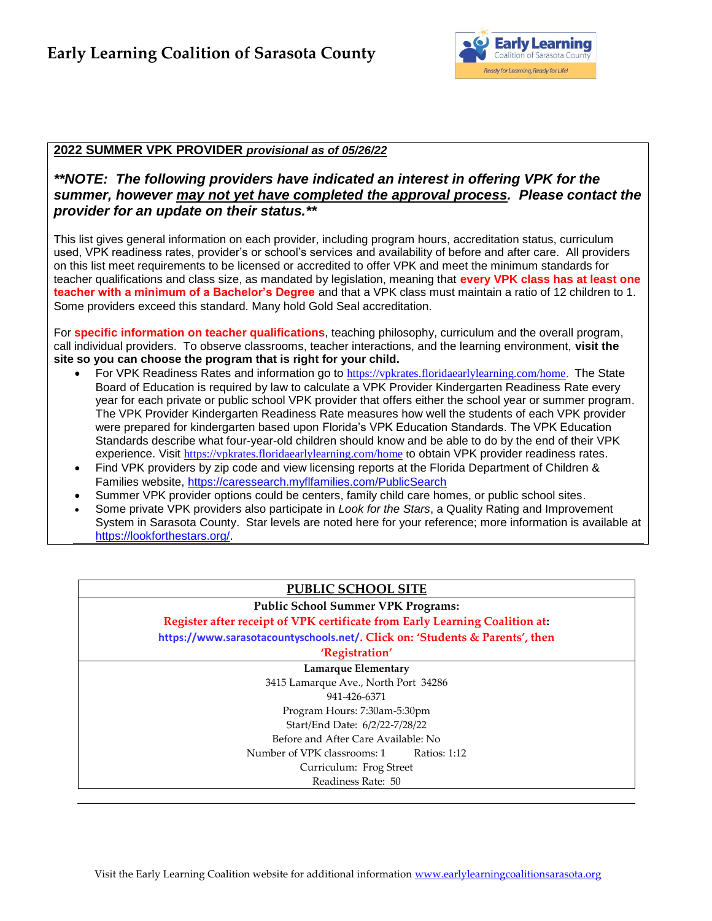

### **2022 SUMMER VPK PROVIDER** *provisional as of 05/26/22*

## *\*\*NOTE: The following providers have indicated an interest in offering VPK for the summer, however may not yet have completed the approval process. Please contact the provider for an update on their status.\*\**

This list gives general information on each provider, including program hours, accreditation status, curriculum used, VPK readiness rates, provider's or school's services and availability of before and after care. All providers on this list meet requirements to be licensed or accredited to offer VPK and meet the minimum standards for teacher qualifications and class size, as mandated by legislation, meaning that **every VPK class has at least one teacher with a minimum of a Bachelor's Degree** and that a VPK class must maintain a ratio of 12 children to 1. Some providers exceed this standard. Many hold Gold Seal accreditation.

For **specific information on teacher qualifications**, teaching philosophy, curriculum and the overall program, call individual providers. To observe classrooms, teacher interactions, and the learning environment, **visit the site so you can choose the program that is right for your child.**

- For VPK Readiness Rates and information go to [https://vpkrates.floridaearlylearning.com/home.](https://vpkrates.floridaearlylearning.com/home) The State Board of Education is required by law to calculate a VPK Provider Kindergarten Readiness Rate every year for each private or public school VPK provider that offers either the school year or summer program. The VPK Provider Kindergarten Readiness Rate measures how well the students of each VPK provider were prepared for kindergarten based upon Florida's VPK Education Standards. The VPK Education Standards describe what four-year-old children should know and be able to do by the end of their VPK experience. Visit <https://vpkrates.floridaearlylearning.com/home> to obtain VPK provider readiness rates.
- Find VPK providers by zip code and view licensing reports at the Florida Department of Children & Families website, <https://caressearch.myflfamilies.com/PublicSearch>
- Summer VPK provider options could be centers, family child care homes, or public school sites.
- Some private VPK providers also participate in *Look for the Stars*, a Quality Rating and Improvement System in Sarasota County. Star levels are noted here for your reference; more information is available at [https://lookforthestars.org/.](https://lookforthestars.org/)

# **PUBLIC SCHOOL SITE**

#### **Public School Summer VPK Programs:**

**Register after receipt of VPK certificate from Early Learning Coalition at: <https://www.sarasotacountyschools.net/>. Click on: 'Students & Parents', then**

# **'Registration'**

**Lamarque Elementary** 3415 Lamarque Ave., North Port 34286 941-426-6371 Program Hours: 7:30am-5:30pm Start/End Date: 6/2/22-7/28/22 Before and After Care Available: No Number of VPK classrooms: 1 Ratios: 1:12 Curriculum: Frog Street Readiness Rate: 50